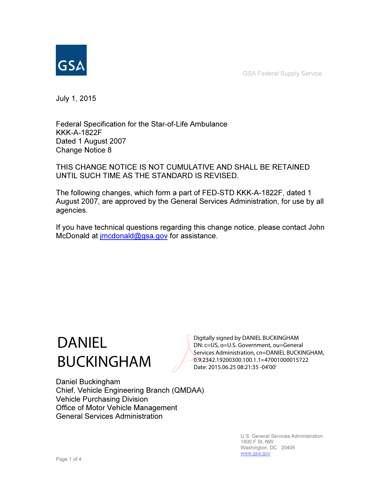GSA Federal Supply Service



July 1, 2015

Federal Specification for the Star-of-Life Ambulance KKK-A-1822F Dated 1 August 2007 Change Notice 8

THIS CHANGE NOTICE IS NOT CUMULATIVE AND SHALL BE RETAINED UNTIL SUCH TIME AS THE STANDARD IS REVISED.

The following changes, which form a part of FED-STD KKK-A-1822F, dated 1 August 2007, are approved by the General Services Administration, for use by all agencies.

If you have technical questions regarding this change notice, please contact John McDonald at *jmcdonald@gsa.gov* for assistance.

# DANIEL BUCKINGHAM

Digitally signed by DANIEL BUCKINGHAM DN: c=US, o=U.S. Government, ou=General Services Administration, cn=DANIEL BUCKINGHAM, 0.9.2342.19200300.100.1.1=47001000015722 Date: 2015.06.25 08:21:35 -04'00'

Daniel Buckingham Chief, Vehicle Engineering Branch (QMDAA) Vehicle Purchasing Division Office of Motor Vehicle Management General Services Administration

> U.S. General Services Administration 1800 F St, NW Washington, DC 20405 www.gsa.gov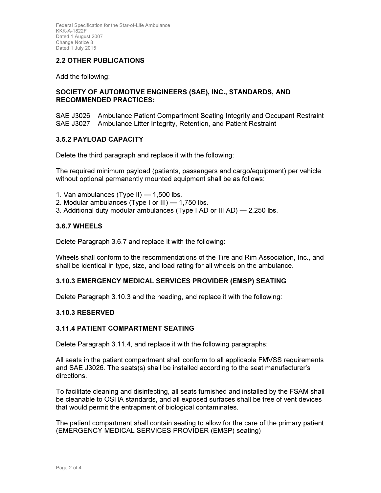Federal Specification for the Star-of-Life Ambulance KKK-A-1822F Dated 1 August 2007 Change Notice 8 Dated 1 July 2015

# 2.2 OTHER PUBLICATIONS

Add the following:

#### SOCIETY OF AUTOMOTIVE ENGINEERS (SAE), INC., STANDARDS, AND RECOMMENDED PRACTICES:

SAE J3026 Ambulance Patient Compartment Seating Integrity and Occupant Restraint SAE J3027 Ambulance Litter Integrity, Retention, and Patient Restraint

## 3.5.2 PAYLOAD CAPACITY

Delete the third paragraph and replace it with the following:

The required minimum payload (patients, passengers and cargo/equipment) per vehicle without optional permanently mounted equipment shall be as follows:

- 1. Van ambulances (Type II)  $-$  1,500 lbs.
- 2. Modular ambulances (Type I or III) 1,750 lbs.
- 3. Additional duty modular ambulances (Type I AD or III AD) 2,250 lbs.

#### 3.6.7 WHEELS

Delete Paragraph 3.6.7 and replace it with the following:

Wheels shall conform to the recommendations of the Tire and Rim Association, Inc., and shall be identical in type, size, and load rating for all wheels on the ambulance.

#### 3.10.3 EMERGENCY MEDICAL SERVICES PROVIDER (EMSP) SEATING

Delete Paragraph 3.10.3 and the heading, and replace it with the following:

#### 3.10.3 RESERVED

#### 3.11.4 PATIENT COMPARTMENT SEATING

Delete Paragraph 3.11.4, and replace it with the following paragraphs:

All seats in the patient compartment shall conform to all applicable FMVSS requirements and SAE J3026. The seats(s) shall be installed according to the seat manufacturer's directions.

To facilitate cleaning and disinfecting, all seats furnished and installed by the FSAM shall be cleanable to OSHA standards, and all exposed surfaces shall be free of vent devices that would permit the entrapment of biological contaminates.

The patient compartment shall contain seating to allow for the care of the primary patient (EMERGENCY MEDICAL SERVICES PROVIDER (EMSP) seating)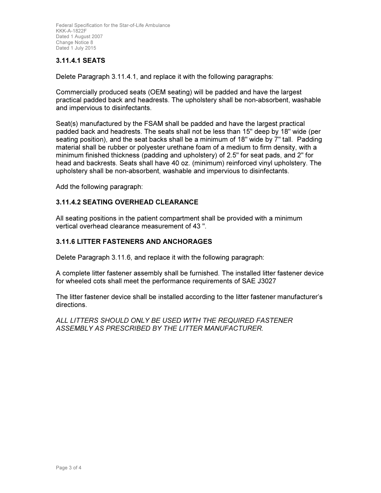Federal Specification for the Star-of-Life Ambulance KKK-A-1822F Dated 1 August 2007 Change Notice 8 Dated 1 July 2015

# 3.11.4.1 SEATS

Delete Paragraph 3.11.4.1, and replace it with the following paragraphs:

Commercially produced seats (OEM seating) will be padded and have the largest practical padded back and headrests. The upholstery shall be non-absorbent, washable and impervious to disinfectants.

Seat(s) manufactured by the FSAM shall be padded and have the largest practical padded back and headrests. The seats shall not be less than 15" deep by 18" wide (per seating position), and the seat backs shall be a minimum of 18" wide by 7" tall. Padding material shall be rubber or polyester urethane foam of a medium to firm density, with a minimum finished thickness (padding and upholstery) of 2.5" for seat pads, and 2" for head and backrests. Seats shall have 40 oz. (minimum) reinforced vinyl upholstery. The upholstery shall be non-absorbent, washable and impervious to disinfectants.

Add the following paragraph:

#### 3.11.4.2 SEATING OVERHEAD CLEARANCE

All seating positions in the patient compartment shall be provided with a minimum vertical overhead clearance measurement of 43 ".

#### 3.11.6 LITTER FASTENERS AND ANCHORAGES

Delete Paragraph 3.11.6, and replace it with the following paragraph:

A complete litter fastener assembly shall be furnished. The installed litter fastener device for wheeled cots shall meet the performance requirements of SAE J3027

The litter fastener device shall be installed according to the litter fastener manufacturer's directions.

ALL LITTERS SHOULD ONLY BE USED WITH THE REQUIRED FASTENER ASSEMBLY AS PRESCRIBED BY THE LITTER MANUFACTURER.